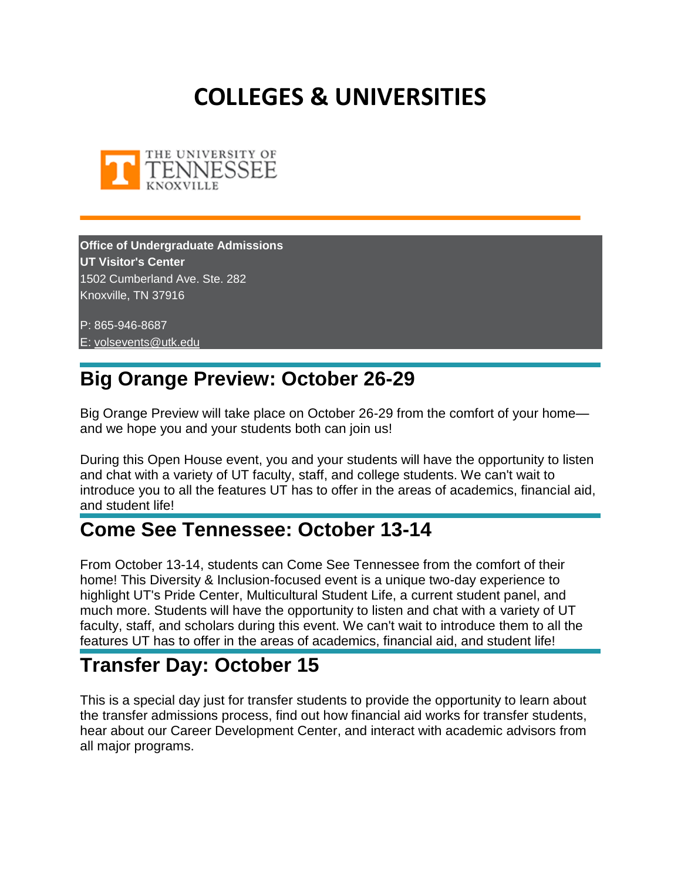# **COLLEGES & UNIVERSITIES**



**Office of Undergraduate Admissions UT Visitor's Center** 1502 Cumberland Ave. Ste. 282 Knoxville, TN 37916

P: 865-946-8687 E: [volsevents@utk.edu](mailto:volsevents@utk.edu)

## **Big Orange Preview: October 26-29**

Big Orange Preview will take place on October 26-29 from the comfort of your home and we hope you and your students both can join us!

During this Open House event, you and your students will have the opportunity to listen and chat with a variety of UT faculty, staff, and college students. We can't wait to introduce you to all the features UT has to offer in the areas of academics, financial aid, and student life!

## **Come See Tennessee: October 13-14**

From October 13-14, students can Come See Tennessee from the comfort of their home! This Diversity & Inclusion-focused event is a unique two-day experience to highlight UT's Pride Center, Multicultural Student Life, a current student panel, and much more. Students will have the opportunity to listen and chat with a variety of UT faculty, staff, and scholars during this event. We can't wait to introduce them to all the features UT has to offer in the areas of academics, financial aid, and student life!

## **Transfer Day: October 15**

This is a special day just for transfer students to provide the opportunity to learn about the transfer admissions process, find out how financial aid works for transfer students, hear about our Career Development Center, and interact with academic advisors from all major programs.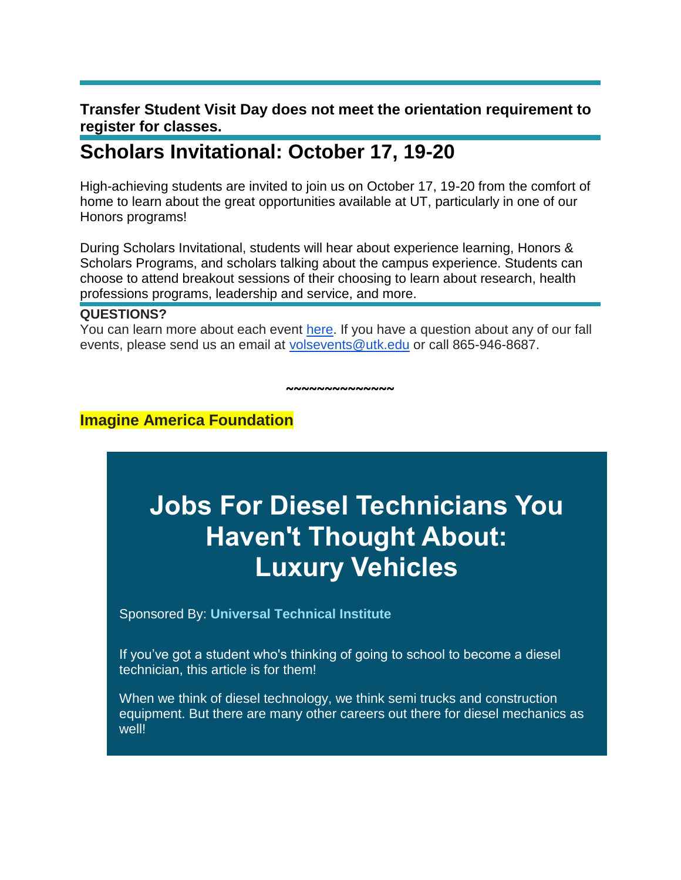#### **Transfer Student Visit Day does not meet the orientation requirement to register for classes.**

## **Scholars Invitational: October 17, 19-20**

High-achieving students are invited to join us on October 17, 19-20 from the comfort of home to learn about the great opportunities available at UT, particularly in one of our Honors programs!

During Scholars Invitational, students will hear about experience learning, Honors & Scholars Programs, and scholars talking about the campus experience. Students can choose to attend breakout sessions of their choosing to learn about research, health professions programs, leadership and service, and more.

#### **QUESTIONS?**

You can learn more about each event [here.](https://mx.technolutions.net/ss/c/VpDhrCrvzjOrNk6AZ3TbHgLS1eZtCncrD0_u3wFRSkVvTFFnJh3WZf-m42aKJSaXHNN4ywEU_5wmwP5S4tTNlmyhReXXvVspcSSWSOTXqSw8we4S7DXCWsc_aYmyO9IXNxCBQvlUJWwe0ZbQ1IuwlXotIjrF5K0gzowhFUe6r9unWZMOceEwoYnPTuiqf-4L/35m/oVNS1PznTIikON1OX3FkNg/h1/WvIN011ZyKMbEIhtQZlcndFS9wYe3LmrINI9ddokBYA) If you have a question about any of our fall events, please send us an email at [volsevents@utk.edu](mailto:volsevents@utk.edu) or call 865-946-8687.

**~~~~~~~~~~~~~~**

**Imagine America Foundation**

# **Jobs For Diesel Technicians You Haven't Thought About: Luxury Vehicles**

Sponsored By: **[Universal Technical Institute](https://click.icptrack.com/icp/relay.php?r=5095838&msgid=175958&act=E5A7&c=1630577&destination=http%3A%2F%2Fwww.uti.edu%2F%3Futm_source%3Dimagine_america%26utm_medium%3Ddisplay_ros%26utm_campaign%3DCMP-01330-Z9P2G5%26utm_term%3Dimagine_america_blog&cf=2417&v=3e88f15c19c69c845265599a51bec4973b9276f67893ff973360a46bafb7883b)**

If you've got a student who's thinking of going to school to become a diesel technician, this article is for them!

When we think of diesel technology, we think semi trucks and construction equipment. But there are many other careers out there for diesel mechanics as well!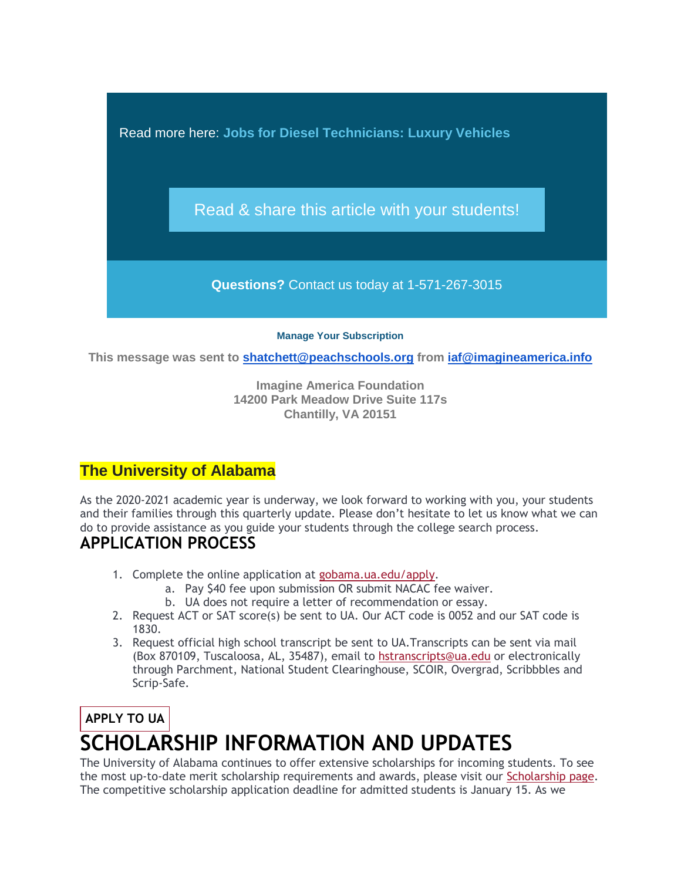Read more here: **[Jobs for Diesel Technicians: Luxury Vehicles](https://click.icptrack.com/icp/relay.php?r=5095838&msgid=175958&act=E5A7&c=1630577&destination=https%3A%2F%2Fwww.imagine-america.org%2Fjobs-diesel-technicians-luxury-vehicles%2F&cf=2417&v=c4c5ae58b5b39e20957a3e514ba44ba86d49fcf2d2def4e275b40e591b594c5c)**

[Read & share this article with your students!](https://click.icptrack.com/icp/relay.php?r=5095838&msgid=175958&act=E5A7&c=1630577&destination=https%3A%2F%2Fwww.imagine-america.org%2Fjobs-diesel-technicians-luxury-vehicles%2F&cf=2417&v=c4c5ae58b5b39e20957a3e514ba44ba86d49fcf2d2def4e275b40e591b594c5c)

**Questions?** Contact us today at 1-571-267-3015

**[Manage Your Subscription](https://app.icontact.com/icp/mmail-mprofile.php?r=5095838&l=2417&s=E5A7&m=175958&c=1630577)**

**This message was sent to [shatchett@peachschools.org](mailto:shatchett@peachschools.org) from [iaf@imagineamerica.info](mailto:iaf@imagineamerica.info)**

**Imagine America Foundation 14200 Park Meadow Drive Suite 117s Chantilly, VA 20151**

## **The University of Alabama**

As the 2020-2021 academic year is underway, we look forward to working with you, your students and their families through this quarterly update. Please don't hesitate to let us know what we can do to provide assistance as you guide your students through the college search process.

## **APPLICATION PROCESS**

- 1. Complete the online application at [gobama.ua.edu/apply.](https://mx.technolutions.net/ss/c/3umeT0p8JC2YP-dw0QylhGZwrRnVq3Vcj5SjKQ7rVMe9z9iC02U0aiNj6CuoNKVeu-0UetilCeImPQoUskjomQAj5ECmD7qgLyuPTAS177ewLOptiqgjVXCybM4vwso0ASlp63yR0zhn_slju7t_m4tSzPjLEr07pEii82aInJtdQKc3fTlFF-uf9-iWSqRb7y_uVe55zQPXgY9Rg1Jy0w/35k/7T9PKzcfQUWMHCsiXwLPdQ/h3/rNQKUyBAVR2fe-WV4db4JqZhGEgt7tpmQixmDDlsoXo)
	- a. Pay \$40 fee upon submission OR submit NACAC fee waiver.
	- b. UA does not require a letter of recommendation or essay.
- 2. Request ACT or SAT score(s) be sent to UA. Our ACT code is 0052 and our SAT code is 1830.
- 3. Request official high school transcript be sent to UA.Transcripts can be sent via mail (Box 870109, Tuscaloosa, AL, 35487), email to [hstranscripts@ua.edu](mailto:hstranscripts@ua.edu?subject=High%20School%20Transcript%20for%20Student:%20) or electronically through Parchment, National Student Clearinghouse, SCOIR, Overgrad, Scribbbles and Scrip-Safe.

# **[APPLY](https://mx.technolutions.net/ss/c/3umeT0p8JC2YP-dw0QylhGZwrRnVq3Vcj5SjKQ7rVMe9z9iC02U0aiNj6CuoNKVeu-0UetilCeImPQoUskjomQAj5ECmD7qgLyuPTAS177ewLOptiqgjVXCybM4vwso0ASlp63yR0zhn_slju7t_m4tSzPjLEr07pEii82aInJtdQKc3fTlFF-uf9-iWSqRb7y_uVe55zQPXgY9Rg1Jy0w/35k/7T9PKzcfQUWMHCsiXwLPdQ/h4/ml1cP1-Fcdo6kuF_cN8tdWoRIz8yw5vDh4loLHhp7TA) TO UA SCHOLARSHIP INFORMATION AND UPDATES**

The University of Alabama continues to offer extensive scholarships for incoming students. To see the most up-to-date merit scholarship requirements and awards, please visit our [Scholarship page.](https://mx.technolutions.net/ss/c/aIkJw0Q_mHk9oe6EO2AZMGYBrpxZ53mTbq-HqAToiFoMoPNcBW4Jxc1hLkYnTlQpWpRWG7kpE2tcNB7Pl27729LklOzf_AXn6y8N71l1sbYQ4S9YpkerbfhvexC3thYU3tPCzuu17qu8afycCI8Rg5uBUboOtSQakwXE8Bs4ixnjifCOIMxmLsE6QOSCWpnbTCaPkIXY7FY828YvHGGu8P6HKa1eNBx-_QKByCl1ZFg/35k/7T9PKzcfQUWMHCsiXwLPdQ/h5/efUtZRjpd6ahu4Dr0YE4BW7fRYr9x6y5tKoWpGIDTu8) The competitive scholarship application deadline for admitted students is January 15. As we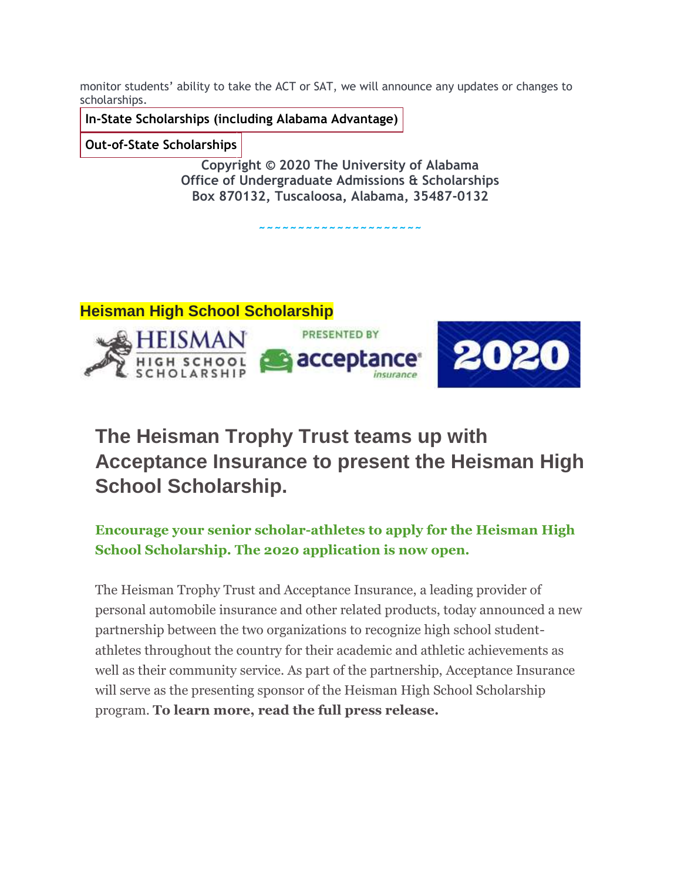monitor students' ability to take the ACT or SAT, we will announce any updates or changes to scholarships.

**In-State [Scholarships](https://mx.technolutions.net/ss/c/aIkJw0Q_mHk9oe6EO2AZMGYBrpxZ53mTbq-HqAToiFrVGZheU2k6B5BdxcoLzrka-CmJ-CB-DvjOXTUcEB-iMG1VUqAwO4yVFskvwx0g2Z7HW4F1s6MA8jdw8pLj7FR87hUrsAjhydjB1Tgcif1CXbEDQtl-3Qw2SF9cnOakyQyWr-LPSODMYwhd-ZohNdE6LP4Jylo83J9GykyEkOcTJ61FCh2dbh9oggoY6wIa7k0/35k/7T9PKzcfQUWMHCsiXwLPdQ/h6/1r8i9AAuihUgjxsLrLOn8CCHR5YAZs4YjMyvAic-HoM) (including Alabama Advantage)**

**Out-of-State [Scholarships](https://mx.technolutions.net/ss/c/aIkJw0Q_mHk9oe6EO2AZMGYBrpxZ53mTbq-HqAToiFr_fxAhlS7yWLFZAmj6WNhbEpDZFxU-YE-IbzEy8RuqWLeodH-tOlhmdO2DaZ0bpnTicsufVZtCyMjF22ahcRD9mmLm2zlN3UU_OW91JauP6SWCgRG9D6cn6EE-O-gJUugq8dtCT_ozNTc9BwjKdWPvdv8FxCejTTSPT4CJOBS00iZiVyP9jN0bFpjzpJdKPbc/35k/7T9PKzcfQUWMHCsiXwLPdQ/h7/dN7zAuHWxCjPMJ7twznxOneniwOE-qKyCb2xkOqphtU)**

**Copyright © 2020 The University of Alabama Office of Undergraduate Admissions & Scholarships Box 870132, Tuscaloosa, Alabama, 35487-0132**

**~~~~~~~~~~~~~~~~~~~~~**



## **The Heisman Trophy Trust teams up with Acceptance Insurance to present the Heisman High School Scholarship.**

#### **Encourage your senior scholar-athletes to apply for the Heisman High School Scholarship. The 2020 application is now open.**

The Heisman Trophy Trust and Acceptance Insurance, a leading provider of personal automobile insurance and other related products, today announced a new partnership between the two organizations to recognize high school studentathletes throughout the country for their academic and athletic achievements as well as their community service. As part of the partnership, Acceptance Insurance will serve as the presenting sponsor of the Heisman High School Scholarship program. **To learn more, read the full press release.**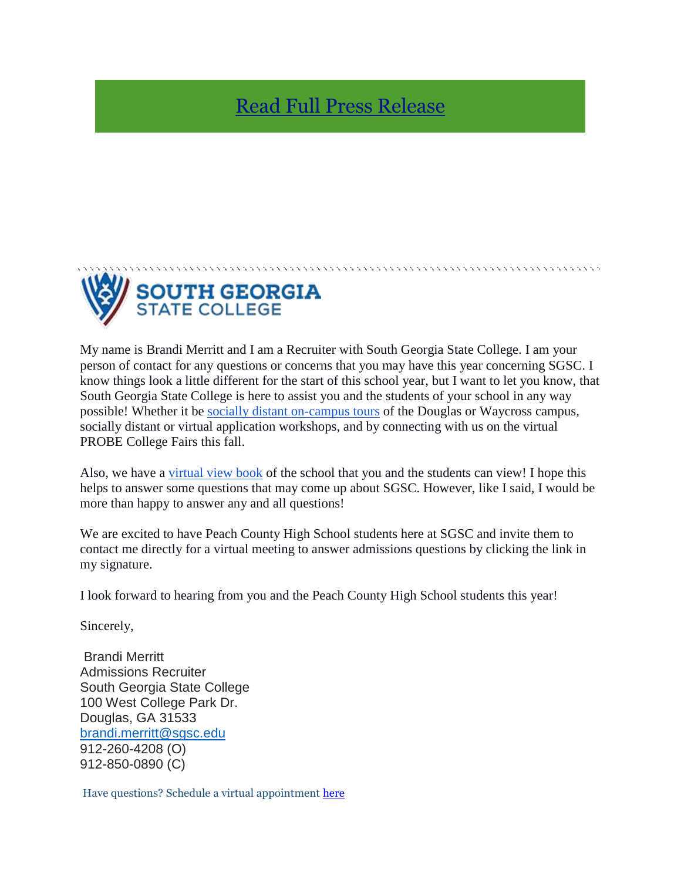## [Read Full Press Release](https://heismanscholarship.us8.list-manage.com/track/click?u=e1576373df2cf1a8b2733dadb&id=aa45c6762d&e=0a825123d8)



My name is Brandi Merritt and I am a Recruiter with South Georgia State College. I am your person of contact for any questions or concerns that you may have this year concerning SGSC. I know things look a little different for the start of this school year, but I want to let you know, that South Georgia State College is here to assist you and the students of your school in any way possible! Whether it be [socially distant on-campus tours](http://www.sgsc.edu/becoming-a-hawk/schedule-a-visit.cms) of the Douglas or Waycross campus, socially distant or virtual application workshops, and by connecting with us on the virtual PROBE College Fairs this fall.

Also, we have a [virtual view book](https://issuu.com/sgschawks/docs/viewbook-2020-review) of the school that you and the students can view! I hope this helps to answer some questions that may come up about SGSC. However, like I said, I would be more than happy to answer any and all questions!

We are excited to have Peach County High School students here at SGSC and invite them to contact me directly for a virtual meeting to answer admissions questions by clicking the link in my signature.

I look forward to hearing from you and the Peach County High School students this year!

Sincerely,

Brandi Merritt Admissions Recruiter South Georgia State College 100 West College Park Dr. Douglas, GA 31533 [brandi.merritt@sgsc.edu](mailto:Barbara.obrentz@sgsc.edu) 912-260-4208 (O) 912-850-0890 (C)

Have questions? Schedule a virtual appointment [here](https://outlook.office365.com/owa/calendar/SouthGeorgiaStateCollege5@sgsc.edu/bookings/)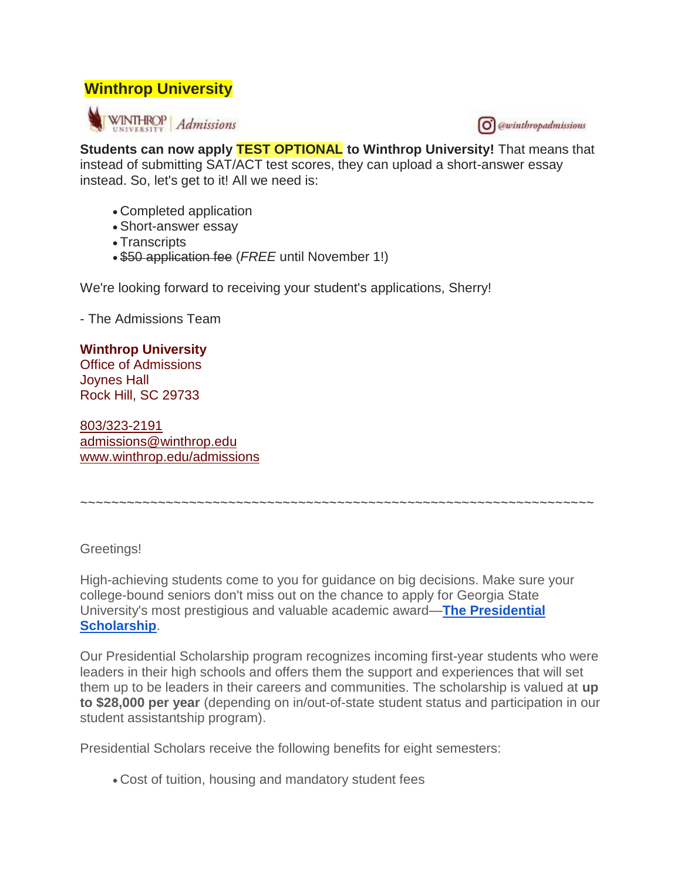#### **Winthrop University**





**Students can now apply TEST OPTIONAL to Winthrop University!** That means that instead of submitting SAT/ACT test scores, they can upload a short-answer essay instead. So, let's get to it! All we need is:

- Completed application
- Short-answer essay
- Transcripts
- \$50 application fee (*FREE* until November 1!)

We're looking forward to receiving your student's applications, Sherry!

- The Admissions Team

#### **Winthrop University**

Office of Admissions Joynes Hall Rock Hill, SC 29733

[803/323-2191](tel:803-323-2191) [admissions@winthrop.edu](mailto:admissions@winthrop.edu) [www.winthrop.edu/admissions](https://mx.technolutions.net/ss/c/XXc6adqa997Wg7dFYCT9VnSW9j9WTl0VPPRAGIqkfiS2T4LFzwDM7bW4h3tTkjAJ/35k/V3Ylvqw1QGialLftzzSldw/h2/khv7gy2C4z9bgkta9a9tWzCNbUf1zyQEQq9ymHwrqDw)

~~~~~~~~~~~~~~~~~~~~~~~~~~~~~~~~~~~~~~~~~~~~~~~~~~~~~~~~~~~~~~~~~~

Greetings!

High-achieving students come to you for guidance on big decisions. Make sure your college-bound seniors don't miss out on the chance to apply for Georgia State University's most prestigious and valuable academic award—**[The Presidential](https://mx.technolutions.net/ss/c/bRQud4jh4vmKXkMQSAzkecrcncW_6afz9Cx0x-K1HQt57z7_Vb32bFeUztsI-p2ynbUersdZm6tIdF7n72IQZQ/34u/FLU3nW1zQ9im7Sugk1voaQ/h1/w3lQnFJ_iRfUxqkMqEMsrQtp3zdXLVzuPuRw5z06rLA)  [Scholarship](https://mx.technolutions.net/ss/c/bRQud4jh4vmKXkMQSAzkecrcncW_6afz9Cx0x-K1HQt57z7_Vb32bFeUztsI-p2ynbUersdZm6tIdF7n72IQZQ/34u/FLU3nW1zQ9im7Sugk1voaQ/h1/w3lQnFJ_iRfUxqkMqEMsrQtp3zdXLVzuPuRw5z06rLA)**.

Our Presidential Scholarship program recognizes incoming first-year students who were leaders in their high schools and offers them the support and experiences that will set them up to be leaders in their careers and communities. The scholarship is valued at **up to \$28,000 per year** (depending on in/out-of-state student status and participation in our student assistantship program).

Presidential Scholars receive the following benefits for eight semesters:

Cost of tuition, housing and mandatory student fees